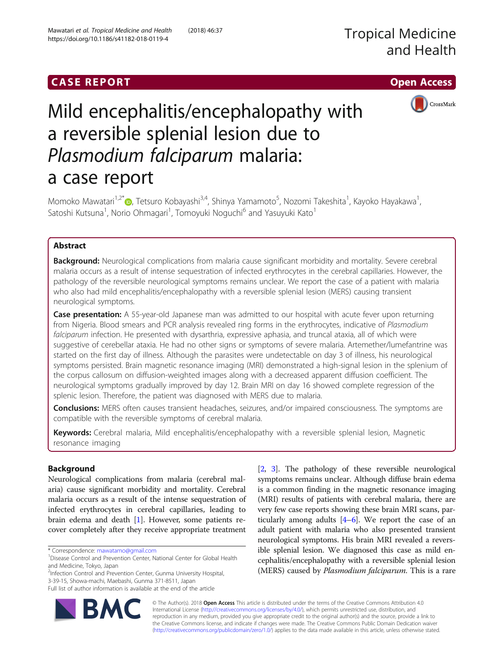## **CASE REPORT CASE ACCESS**



# Mild encephalitis/encephalopathy with a reversible splenial lesion due to Plasmodium falciparum malaria: a case report

Momoko Mawatari<sup>1,2[\\*](http://orcid.org/0000-0002-8953-5962)</sup>�, Tetsuro Kobayashi<sup>3,4</sup>, Shinya Yamamoto<sup>5</sup>, Nozomi Takeshita<sup>1</sup>, Kayoko Hayakawa<sup>1</sup> , Satoshi Kutsuna<sup>1</sup>, Norio Ohmagari<sup>1</sup>, Tomoyuki Noguchi<sup>6</sup> and Yasuyuki Kato<sup>1</sup>

## Abstract

Background: Neurological complications from malaria cause significant morbidity and mortality. Severe cerebral malaria occurs as a result of intense sequestration of infected erythrocytes in the cerebral capillaries. However, the pathology of the reversible neurological symptoms remains unclear. We report the case of a patient with malaria who also had mild encephalitis/encephalopathy with a reversible splenial lesion (MERS) causing transient neurological symptoms.

Case presentation: A 55-year-old Japanese man was admitted to our hospital with acute fever upon returning from Nigeria. Blood smears and PCR analysis revealed ring forms in the erythrocytes, indicative of Plasmodium falciparum infection. He presented with dysarthria, expressive aphasia, and truncal ataxia, all of which were suggestive of cerebellar ataxia. He had no other signs or symptoms of severe malaria. Artemether/lumefantrine was started on the first day of illness. Although the parasites were undetectable on day 3 of illness, his neurological symptoms persisted. Brain magnetic resonance imaging (MRI) demonstrated a high-signal lesion in the splenium of the corpus callosum on diffusion-weighted images along with a decreased apparent diffusion coefficient. The neurological symptoms gradually improved by day 12. Brain MRI on day 16 showed complete regression of the splenic lesion. Therefore, the patient was diagnosed with MERS due to malaria.

Conclusions: MERS often causes transient headaches, seizures, and/or impaired consciousness. The symptoms are compatible with the reversible symptoms of cerebral malaria.

Keywords: Cerebral malaria, Mild encephalitis/encephalopathy with a reversible splenial lesion, Magnetic resonance imaging

## Background

Neurological complications from malaria (cerebral malaria) cause significant morbidity and mortality. Cerebral malaria occurs as a result of the intense sequestration of infected erythrocytes in cerebral capillaries, leading to brain edema and death [\[1](#page-3-0)]. However, some patients recover completely after they receive appropriate treatment

<sup>2</sup>Infection Control and Prevention Center, Gunma University Hospital, 3-39-15, Showa-machi, Maebashi, Gunma 371-8511, Japan

Full list of author information is available at the end of the article





© The Author(s). 2018 Open Access This article is distributed under the terms of the Creative Commons Attribution 4.0 International License [\(http://creativecommons.org/licenses/by/4.0/](http://creativecommons.org/licenses/by/4.0/)), which permits unrestricted use, distribution, and reproduction in any medium, provided you give appropriate credit to the original author(s) and the source, provide a link to the Creative Commons license, and indicate if changes were made. The Creative Commons Public Domain Dedication waiver [\(http://creativecommons.org/publicdomain/zero/1.0/](http://creativecommons.org/publicdomain/zero/1.0/)) applies to the data made available in this article, unless otherwise stated.

<sup>\*</sup> Correspondence: [mawatamo@gmail.com](mailto:mawatamo@gmail.com) <sup>1</sup>

<sup>&</sup>lt;sup>1</sup>Disease Control and Prevention Center, National Center for Global Health and Medicine, Tokyo, Japan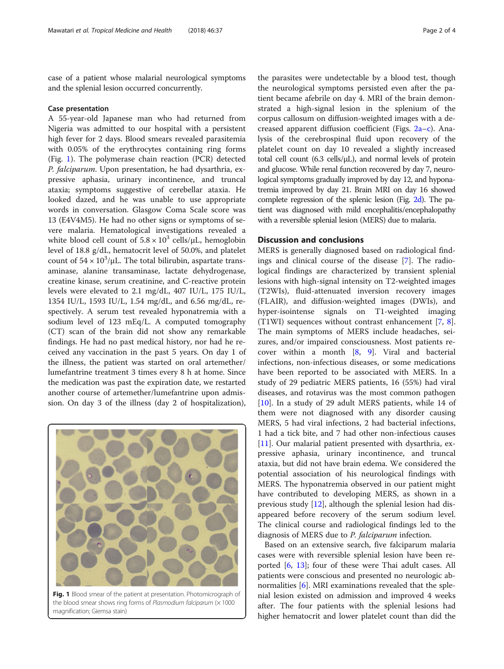case of a patient whose malarial neurological symptoms and the splenial lesion occurred concurrently.

#### Case presentation

A 55-year-old Japanese man who had returned from Nigeria was admitted to our hospital with a persistent high fever for 2 days. Blood smears revealed parasitemia with 0.05% of the erythrocytes containing ring forms (Fig. 1). The polymerase chain reaction (PCR) detected P. falciparum. Upon presentation, he had dysarthria, expressive aphasia, urinary incontinence, and truncal ataxia; symptoms suggestive of cerebellar ataxia. He looked dazed, and he was unable to use appropriate words in conversation. Glasgow Coma Scale score was 13 (E4V4M5). He had no other signs or symptoms of severe malaria. Hematological investigations revealed a white blood cell count of  $5.8 \times 10^3$  cells/ $\mu$ L, hemoglobin level of 18.8 g/dL, hematocrit level of 50.0%, and platelet count of  $54 \times 10^3/\mu L$ . The total bilirubin, aspartate transaminase, alanine transaminase, lactate dehydrogenase, creatine kinase, serum creatinine, and C-reactive protein levels were elevated to 2.1 mg/dL, 407 IU/L, 175 IU/L, 1354 IU/L, 1593 IU/L, 1.54 mg/dL, and 6.56 mg/dL, respectively. A serum test revealed hyponatremia with a sodium level of 123 mEq/L. A computed tomography (CT) scan of the brain did not show any remarkable findings. He had no past medical history, nor had he received any vaccination in the past 5 years. On day 1 of the illness, the patient was started on oral artemether/ lumefantrine treatment 3 times every 8 h at home. Since the medication was past the expiration date, we restarted another course of artemether/lumefantrine upon admission. On day 3 of the illness (day 2 of hospitalization),



the blood smear shows ring forms of Plasmodium falciparum  $(x 1000$ magnification; Giemsa stain)

the parasites were undetectable by a blood test, though the neurological symptoms persisted even after the patient became afebrile on day 4. MRI of the brain demonstrated a high-signal lesion in the splenium of the corpus callosum on diffusion-weighted images with a decreased apparent diffusion coefficient (Figs. [2a](#page-2-0)–[c](#page-2-0)). Analysis of the cerebrospinal fluid upon recovery of the platelet count on day 10 revealed a slightly increased total cell count  $(6.3 \text{ cells/}\mu\text{L})$ , and normal levels of protein and glucose. While renal function recovered by day 7, neurological symptoms gradually improved by day 12, and hyponatremia improved by day 21. Brain MRI on day 16 showed complete regression of the splenic lesion (Fig. [2d](#page-2-0)). The patient was diagnosed with mild encephalitis/encephalopathy with a reversible splenial lesion (MERS) due to malaria.

### Discussion and conclusions

MERS is generally diagnosed based on radiological findings and clinical course of the disease [\[7\]](#page-3-0). The radiological findings are characterized by transient splenial lesions with high-signal intensity on T2-weighted images (T2WIs), fluid-attenuated inversion recovery images (FLAIR), and diffusion-weighted images (DWIs), and hyper-isointense signals on T1-weighted imaging (T1WI) sequences without contrast enhancement [[7,](#page-3-0) [8](#page-3-0)]. The main symptoms of MERS include headaches, seizures, and/or impaired consciousness. Most patients recover within a month [[8](#page-3-0), [9\]](#page-3-0). Viral and bacterial infections, non-infectious diseases, or some medications have been reported to be associated with MERS. In a study of 29 pediatric MERS patients, 16 (55%) had viral diseases, and rotavirus was the most common pathogen [[10\]](#page-3-0). In a study of 29 adult MERS patients, while 14 of them were not diagnosed with any disorder causing MERS, 5 had viral infections, 2 had bacterial infections, 1 had a tick bite, and 7 had other non-infectious causes [[11\]](#page-3-0). Our malarial patient presented with dysarthria, expressive aphasia, urinary incontinence, and truncal ataxia, but did not have brain edema. We considered the potential association of his neurological findings with MERS. The hyponatremia observed in our patient might have contributed to developing MERS, as shown in a previous study [[12\]](#page-3-0), although the splenial lesion had disappeared before recovery of the serum sodium level. The clinical course and radiological findings led to the diagnosis of MERS due to P. falciparum infection.

Based on an extensive search, five falciparum malaria cases were with reversible splenial lesion have been reported [[6,](#page-3-0) [13](#page-3-0)]; four of these were Thai adult cases. All patients were conscious and presented no neurologic abnormalities [[6](#page-3-0)]. MRI examinations revealed that the splenial lesion existed on admission and improved 4 weeks after. The four patients with the splenial lesions had higher hematocrit and lower platelet count than did the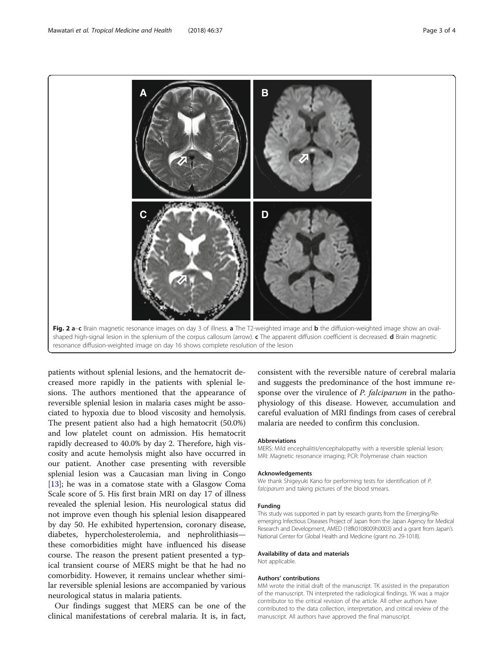<span id="page-2-0"></span>

patients without splenial lesions, and the hematocrit decreased more rapidly in the patients with splenial lesions. The authors mentioned that the appearance of reversible splenial lesion in malaria cases might be associated to hypoxia due to blood viscosity and hemolysis. The present patient also had a high hematocrit (50.0%) and low platelet count on admission. His hematocrit rapidly decreased to 40.0% by day 2. Therefore, high viscosity and acute hemolysis might also have occurred in our patient. Another case presenting with reversible splenial lesion was a Caucasian man living in Congo [[13\]](#page-3-0); he was in a comatose state with a Glasgow Coma Scale score of 5. His first brain MRI on day 17 of illness revealed the splenial lesion. His neurological status did not improve even though his splenial lesion disappeared by day 50. He exhibited hypertension, coronary disease, diabetes, hypercholesterolemia, and nephrolithiasis these comorbidities might have influenced his disease course. The reason the present patient presented a typical transient course of MERS might be that he had no comorbidity. However, it remains unclear whether similar reversible splenial lesions are accompanied by various neurological status in malaria patients.

Our findings suggest that MERS can be one of the clinical manifestations of cerebral malaria. It is, in fact,

consistent with the reversible nature of cerebral malaria and suggests the predominance of the host immune response over the virulence of *P. falciparum* in the pathophysiology of this disease. However, accumulation and careful evaluation of MRI findings from cases of cerebral malaria are needed to confirm this conclusion.

#### Abbreviations

MERS: Mild encephalitis/encephalopathy with a reversible splenial lesion; MRI: Magnetic resonance imaging; PCR: Polymerase chain reaction

#### Acknowledgements

We thank Shigeyuki Kano for performing tests for identification of P. falciparum and taking pictures of the blood smears.

#### Funding

This study was supported in part by research grants from the Emerging/Reemerging Infectious Diseases Project of Japan from the Japan Agency for Medical Research and Development, AMED (18fk0108009h0003) and a grant from Japan's National Center for Global Health and Medicine (grant no. 29-1018).

#### Availability of data and materials

Not applicable.

#### Authors' contributions

MM wrote the initial draft of the manuscript. TK assisted in the preparation of the manuscript. TN interpreted the radiological findings. YK was a major contributor to the critical revision of the article. All other authors have contributed to the data collection, interpretation, and critical review of the manuscript. All authors have approved the final manuscript.